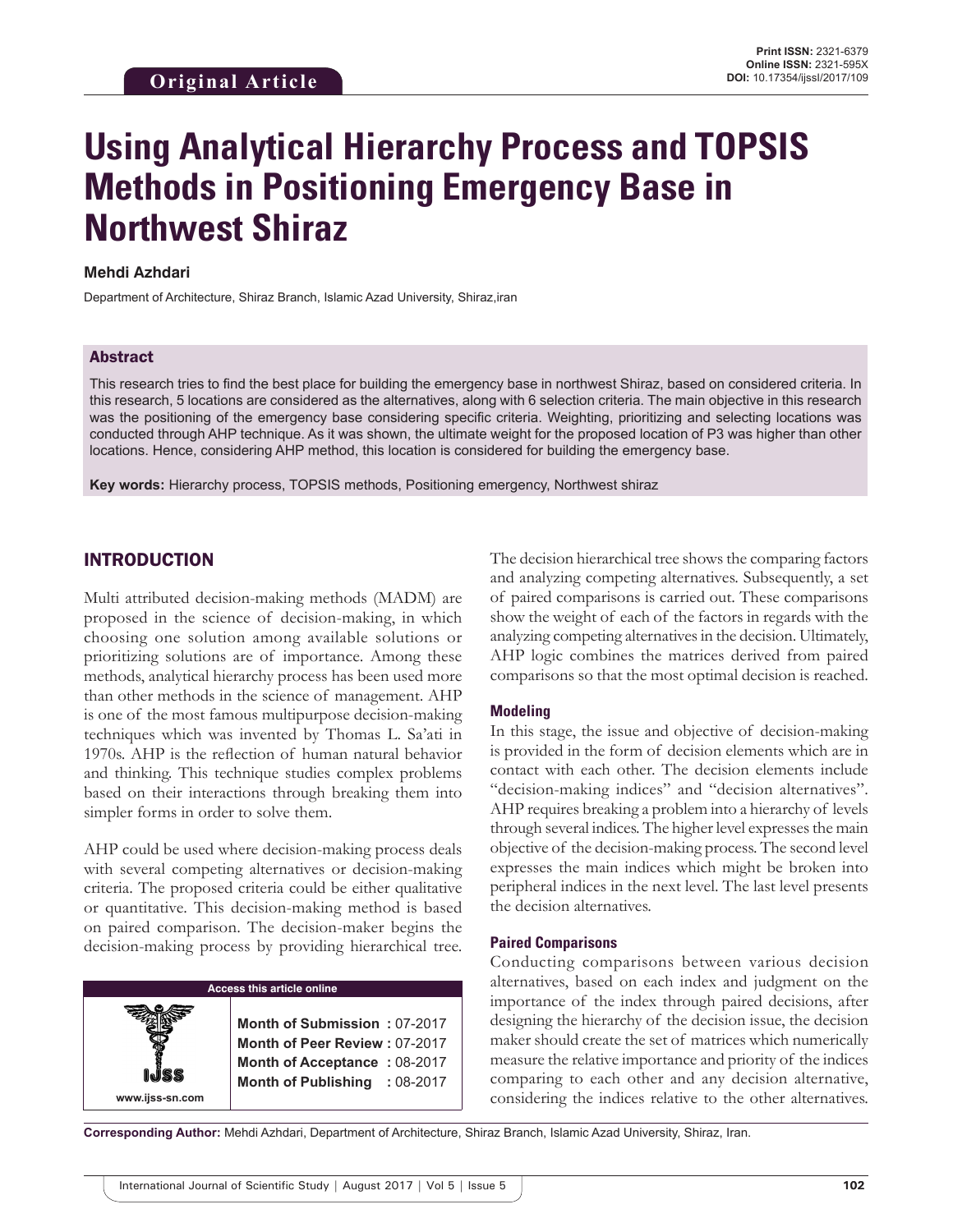# **Using Analytical Hierarchy Process and TOPSIS Methods in Positioning Emergency Base in Northwest Shiraz**

#### **Mehdi Azhdari**

Department of Architecture, Shiraz Branch, Islamic Azad University, Shiraz,iran

#### Abstract

This research tries to find the best place for building the emergency base in northwest Shiraz, based on considered criteria. In this research, 5 locations are considered as the alternatives, along with 6 selection criteria. The main objective in this research was the positioning of the emergency base considering specific criteria. Weighting, prioritizing and selecting locations was conducted through AHP technique. As it was shown, the ultimate weight for the proposed location of P3 was higher than other locations. Hence, considering AHP method, this location is considered for building the emergency base.

**Key words:** Hierarchy process, TOPSIS methods, Positioning emergency, Northwest shiraz

## INTRODUCTION

**www.ijss-sn.com**

Multi attributed decision-making methods (MADM) are proposed in the science of decision-making, in which choosing one solution among available solutions or prioritizing solutions are of importance. Among these methods, analytical hierarchy process has been used more than other methods in the science of management. AHP is one of the most famous multipurpose decision-making techniques which was invented by Thomas L. Sa'ati in 1970s. AHP is the reflection of human natural behavior and thinking. This technique studies complex problems based on their interactions through breaking them into simpler forms in order to solve them.

AHP could be used where decision-making process deals with several competing alternatives or decision-making criteria. The proposed criteria could be either qualitative or quantitative. This decision-making method is based on paired comparison. The decision-maker begins the decision-making process by providing hierarchical tree.

#### **Access this article online**

**Month of Submission :** 07-2017 **Month of Peer Review :** 07-2017 **Month of Acceptance :** 08-2017 **Month of Publishing :** 08-2017 The decision hierarchical tree shows the comparing factors and analyzing competing alternatives. Subsequently, a set of paired comparisons is carried out. These comparisons show the weight of each of the factors in regards with the analyzing competing alternatives in the decision. Ultimately, AHP logic combines the matrices derived from paired comparisons so that the most optimal decision is reached.

#### **Modeling**

In this stage, the issue and objective of decision-making is provided in the form of decision elements which are in contact with each other. The decision elements include "decision-making indices" and "decision alternatives". AHP requires breaking a problem into a hierarchy of levels through several indices. The higher level expresses the main objective of the decision-making process. The second level expresses the main indices which might be broken into peripheral indices in the next level. The last level presents the decision alternatives.

#### **Paired Comparisons**

Conducting comparisons between various decision alternatives, based on each index and judgment on the importance of the index through paired decisions, after designing the hierarchy of the decision issue, the decision maker should create the set of matrices which numerically measure the relative importance and priority of the indices comparing to each other and any decision alternative, considering the indices relative to the other alternatives.

**Corresponding Author:** Mehdi Azhdari, Department of Architecture, Shiraz Branch, Islamic Azad University, Shiraz, Iran.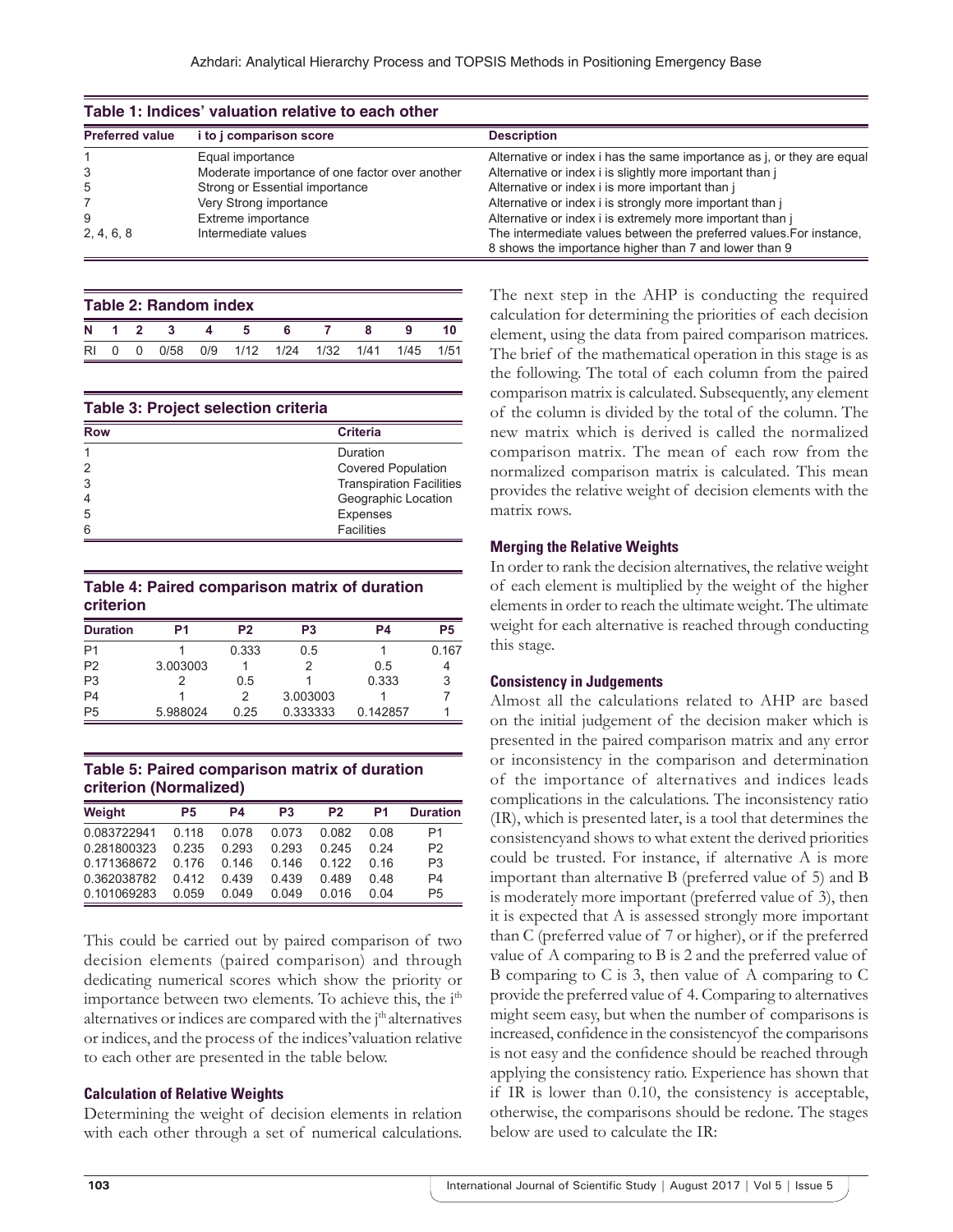|                        | Table 1: Indices' valuation relative to each other |                                                                                                                              |
|------------------------|----------------------------------------------------|------------------------------------------------------------------------------------------------------------------------------|
| <b>Preferred value</b> | i to j comparison score                            | <b>Description</b>                                                                                                           |
|                        | Equal importance                                   | Alternative or index i has the same importance as j, or they are equal                                                       |
| 3                      | Moderate importance of one factor over another     | Alternative or index i is slightly more important than j                                                                     |
| 5                      | Strong or Essential importance                     | Alternative or index i is more important than i                                                                              |
|                        | Very Strong importance                             | Alternative or index i is strongly more important than j                                                                     |
| 9                      | Extreme importance                                 | Alternative or index i is extremely more important than j                                                                    |
| 2, 4, 6, 8             | Intermediate values                                | The intermediate values between the preferred values. For instance,<br>8 shows the importance higher than 7 and lower than 9 |

|    |        |          | Table 2: Random index |                              |  |           |  |
|----|--------|----------|-----------------------|------------------------------|--|-----------|--|
|    |        | N 1 2    |                       |                              |  |           |  |
| RI | $\cap$ | $\Omega$ |                       | 0/58 0/9 1/12 1/24 1/32 1/41 |  | 1/45 1/51 |  |

| <b>Table 3: Project selection criteria</b> |                                 |
|--------------------------------------------|---------------------------------|
| <b>Row</b>                                 | <b>Criteria</b>                 |
|                                            | Duration                        |
| 2                                          | <b>Covered Population</b>       |
| 3                                          | <b>Transpiration Facilities</b> |
| $\overline{4}$                             | Geographic Location             |
| 5                                          | <b>Expenses</b>                 |
| 6                                          | <b>Facilities</b>               |

#### **Table 4: Paired comparison matrix of duration criterion**

| <b>Duration</b> | P1       | P <sub>2</sub> | P <sub>3</sub> | P4       | P <sub>5</sub> |
|-----------------|----------|----------------|----------------|----------|----------------|
| P <sub>1</sub>  |          | 0.333          | 0.5            |          | 0.167          |
| P <sub>2</sub>  | 3.003003 |                |                | 0.5      |                |
| P <sub>3</sub>  |          | 0.5            |                | 0.333    | 3              |
| P <sub>4</sub>  |          | 2              | 3.003003       |          |                |
| P <sub>5</sub>  | 5.988024 | 0.25           | 0.333333       | 0.142857 |                |

**Table 5: Paired comparison matrix of duration criterion (Normalized)**

| Weight      | P5    | P4    | P <sub>3</sub> | P <sub>2</sub> | P1   | <b>Duration</b> |
|-------------|-------|-------|----------------|----------------|------|-----------------|
| 0.083722941 | 0.118 | 0.078 | 0.073          | 0.082          | 0.08 | P1              |
| 0.281800323 | 0 235 | 0.293 | 0.293          | 0.245          | 0.24 | P <sub>2</sub>  |
| 0.171368672 | 0 176 | 0.146 | 0.146          | 0.122          | 0 16 | P <sub>3</sub>  |
| 0.362038782 | 0412  | 0439  | 0439           | 0489           | 0.48 | P <sub>4</sub>  |
| 0.101069283 | 0.059 | 0.049 | 0.049          | 0.016          | 0 04 | P <sub>5</sub>  |

This could be carried out by paired comparison of two decision elements (paired comparison) and through dedicating numerical scores which show the priority or importance between two elements. To achieve this, the i<sup>th</sup> alternatives or indices are compared with the j<sup>th</sup> alternatives or indices, and the process of the indices'valuation relative to each other are presented in the table below.

#### **Calculation of Relative Weights**

Determining the weight of decision elements in relation with each other through a set of numerical calculations. The next step in the AHP is conducting the required calculation for determining the priorities of each decision element, using the data from paired comparison matrices. The brief of the mathematical operation in this stage is as the following. The total of each column from the paired comparison matrix is calculated. Subsequently, any element of the column is divided by the total of the column. The new matrix which is derived is called the normalized comparison matrix. The mean of each row from the normalized comparison matrix is calculated. This mean provides the relative weight of decision elements with the matrix rows.

## **Merging the Relative Weights**

In order to rank the decision alternatives, the relative weight of each element is multiplied by the weight of the higher elements in order to reach the ultimate weight. The ultimate weight for each alternative is reached through conducting this stage.

#### **Consistency in Judgements**

Almost all the calculations related to AHP are based on the initial judgement of the decision maker which is presented in the paired comparison matrix and any error or inconsistency in the comparison and determination of the importance of alternatives and indices leads complications in the calculations. The inconsistency ratio (IR), which is presented later, is a tool that determines the consistencyand shows to what extent the derived priorities could be trusted. For instance, if alternative A is more important than alternative B (preferred value of 5) and B is moderately more important (preferred value of 3), then it is expected that A is assessed strongly more important than C (preferred value of 7 or higher), or if the preferred value of A comparing to B is 2 and the preferred value of B comparing to C is 3, then value of A comparing to C provide the preferred value of 4. Comparing to alternatives might seem easy, but when the number of comparisons is increased, confidence in the consistencyof the comparisons is not easy and the confidence should be reached through applying the consistency ratio. Experience has shown that if IR is lower than 0.10, the consistency is acceptable, otherwise, the comparisons should be redone. The stages below are used to calculate the IR: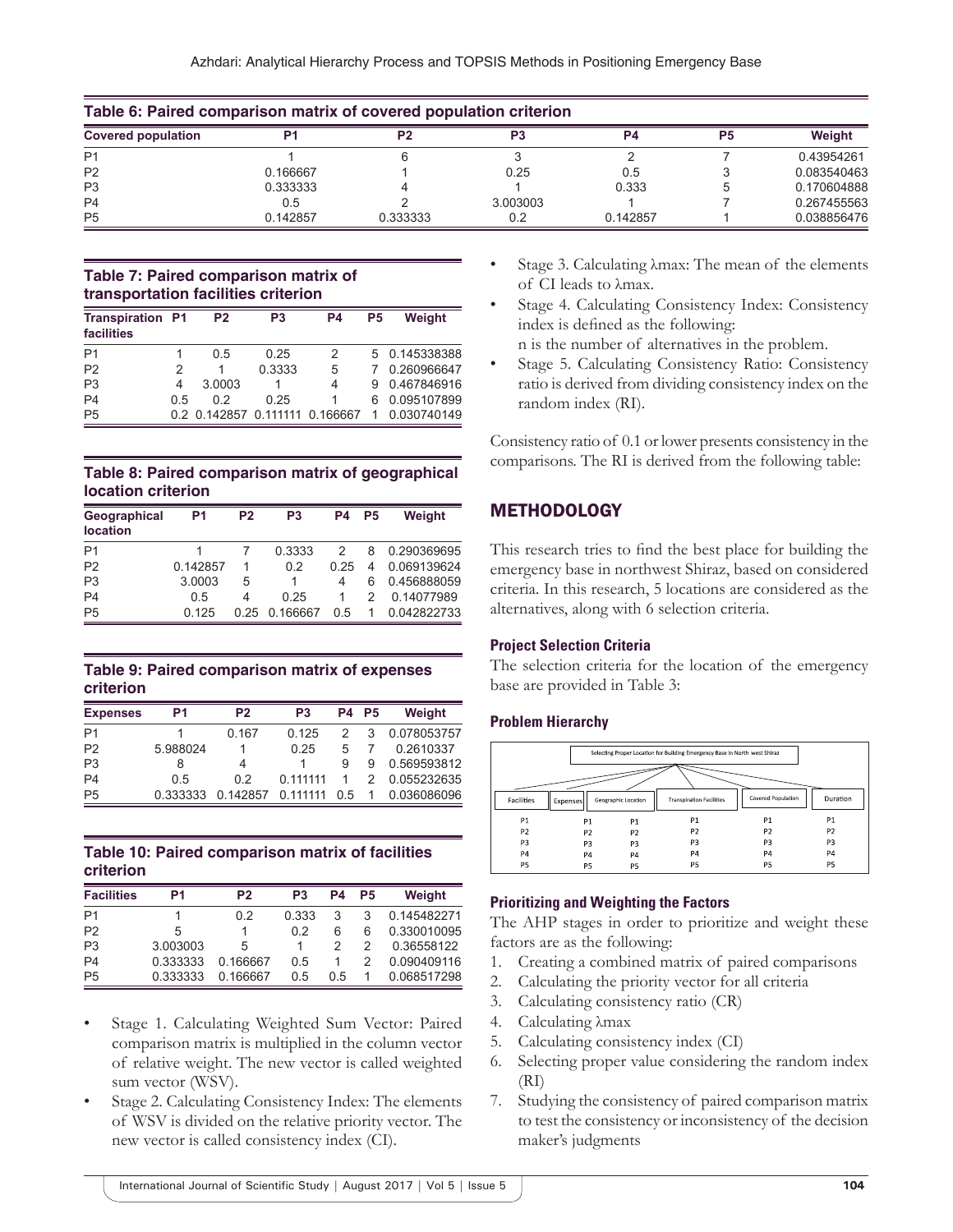| Table 6: Paired comparison matrix of covered population criterion |          |                |          |           |    |             |  |  |
|-------------------------------------------------------------------|----------|----------------|----------|-----------|----|-------------|--|--|
| <b>Covered population</b>                                         | D4       | P <sub>2</sub> | P3       | <b>P4</b> | P5 | Weight      |  |  |
| P <sub>1</sub>                                                    |          |                |          |           |    | 0.43954261  |  |  |
| P <sub>2</sub>                                                    | 0.166667 |                | 0.25     | 0.5       |    | 0.083540463 |  |  |
| P <sub>3</sub>                                                    | 0.333333 |                |          | 0.333     |    | 0.170604888 |  |  |
| P <sub>4</sub>                                                    | 0.5      |                | 3.003003 |           |    | 0.267455563 |  |  |
| P <sub>5</sub>                                                    | 0.142857 | 0.333333       | 02       | 0.142857  |    | 0.038856476 |  |  |

### **Table 7: Paired comparison matrix of transportation facilities criterion**

| <b>Transpiration P1</b><br>facilities |    | P <sub>2</sub>                 | P <sub>3</sub> | P4 | P5 | Weight        |
|---------------------------------------|----|--------------------------------|----------------|----|----|---------------|
| P <sub>1</sub>                        |    | 05                             | 0.25           | 2  |    | 5 0.145338388 |
| P <sub>2</sub>                        | 2  |                                | 0.3333         | 5  |    | 0.260966647   |
| P <sub>3</sub>                        | 4  | 3.0003                         |                | 4  | 9  | 0.467846916   |
| P <sub>4</sub>                        | 05 | 02                             | 0.25           | 1  | 6  | 0.095107899   |
| P <sub>5</sub>                        |    | 0.2 0.142857 0.111111 0.166667 |                |    |    | 0.030740149   |

## **Table 8: Paired comparison matrix of geographical location criterion**

| Geographical<br><b>location</b> | P1       | P <sub>2</sub> | P <sub>3</sub> | P4   | P <sub>5</sub> | Weight      |
|---------------------------------|----------|----------------|----------------|------|----------------|-------------|
| P <sub>1</sub>                  |          |                | 0.3333         | 2    | 8              | 0.290369695 |
| P <sub>2</sub>                  | 0.142857 |                | 0.2            | 0.25 | 4              | 0.069139624 |
| P <sub>3</sub>                  | 3.0003   | 5              |                |      | 6              | 0.456888059 |
| P <sub>4</sub>                  | 0.5      | 4              | 0.25           |      | 2              | 0.14077989  |
| P <sub>5</sub>                  | 0.125    | 0.25           | 0.166667       | 0.5  | 1              | 0.042822733 |

## **Table 9: Paired comparison matrix of expenses criterion**

| <b>Expenses</b> | P1       | P <sub>2</sub> | P <sub>3</sub> |               | <b>P4 P5</b>  | Weight      |
|-----------------|----------|----------------|----------------|---------------|---------------|-------------|
| P <sub>1</sub>  |          | 0.167          | 0.125          |               | 3             | 0.078053757 |
| P <sub>2</sub>  | 5.988024 |                | 0.25           | 5             |               | 0.2610337   |
| P <sub>3</sub>  | 8        | 4              |                | Я             | g             | 0.569593812 |
| P <sub>4</sub>  | 0.5      | 02             | 0.111111       |               | $\mathcal{P}$ | 0.055232635 |
| P <sub>5</sub>  | 0.333333 | 0.142857       | 0.111111       | $0.5^{\circ}$ | 1.            | 0.036086096 |

## **Table 10: Paired comparison matrix of facilities criterion**

| <b>Facilities</b> | P <sub>1</sub> | P <sub>2</sub> | P <sub>3</sub> | P4  | P5 | Weight      |
|-------------------|----------------|----------------|----------------|-----|----|-------------|
| P <sub>1</sub>    |                | 0.2            | 0.333          | 3   | 3  | 0.145482271 |
| P <sub>2</sub>    | 5              |                | 02             | 6   | 6  | 0.330010095 |
| P <sub>3</sub>    | 3.003003       | 5              |                |     |    | 0.36558122  |
| P <sub>4</sub>    | 0.333333       | 0.166667       | 0.5            |     |    | 0.090409116 |
| P <sub>5</sub>    | 0.333333       | 0.166667       | 0.5            | 0.5 |    | 0.068517298 |

- Stage 1. Calculating Weighted Sum Vector: Paired comparison matrix is multiplied in the column vector of relative weight. The new vector is called weighted sum vector (WSV).
- Stage 2. Calculating Consistency Index: The elements of WSV is divided on the relative priority vector. The new vector is called consistency index (CI).
- Stage 3. Calculating λmax: The mean of the elements of CI leads to λmax.
- Stage 4. Calculating Consistency Index: Consistency index is defined as the following:
	- n is the number of alternatives in the problem.
- Stage 5. Calculating Consistency Ratio: Consistency ratio is derived from dividing consistency index on the random index (RI).

Consistency ratio of 0.1 or lower presents consistency in the comparisons. The RI is derived from the following table:

# **METHODOLOGY**

This research tries to find the best place for building the emergency base in northwest Shiraz, based on considered criteria. In this research, 5 locations are considered as the alternatives, along with 6 selection criteria.

## **Project Selection Criteria**

The selection criteria for the location of the emergency base are provided in Table 3:

## **Problem Hierarchy**

|                   |                |                     | Selecting Proper Location for Building Emergency Base in North west Shiraz |                    |                |
|-------------------|----------------|---------------------|----------------------------------------------------------------------------|--------------------|----------------|
| <b>Facilities</b> | Expenses       | Geographic Location | <b>Transpiration Facilities</b>                                            | Covered Population | Duration       |
| P1                | <b>P1</b>      | P1                  | P <sub>1</sub>                                                             | P1                 | <b>P1</b>      |
| P <sub>2</sub>    | P <sub>2</sub> | P <sub>2</sub>      | P <sub>2</sub>                                                             | P <sub>2</sub>     | P <sub>2</sub> |
| P3                | P3             | P3                  | P <sub>3</sub>                                                             | P <sub>3</sub>     | P <sub>3</sub> |
| P4                | P <sub>4</sub> | P <sub>4</sub>      | P <sub>4</sub>                                                             | <b>P4</b>          | <b>P4</b>      |
| P5                | P5             | P5                  | P <sub>5</sub>                                                             | P <sub>5</sub>     | P <sub>5</sub> |

## **Prioritizing and Weighting the Factors**

The AHP stages in order to prioritize and weight these factors are as the following:

- 1. Creating a combined matrix of paired comparisons
- 2. Calculating the priority vector for all criteria
- 3. Calculating consistency ratio (CR)
- 4. Calculating λmax
- 5. Calculating consistency index (CI)
- 6. Selecting proper value considering the random index (RI)
- 7. Studying the consistency of paired comparison matrix to test the consistency or inconsistency of the decision maker's judgments